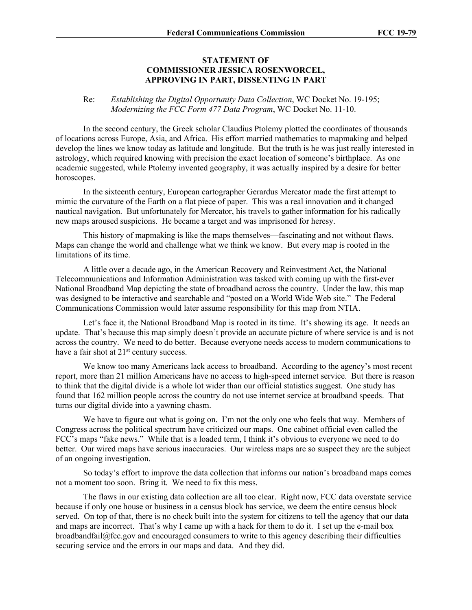## **STATEMENT OF COMMISSIONER JESSICA ROSENWORCEL, APPROVING IN PART, DISSENTING IN PART**

## Re: *Establishing the Digital Opportunity Data Collection*, WC Docket No. 19-195; *Modernizing the FCC Form 477 Data Program*, WC Docket No. 11-10.

In the second century, the Greek scholar Claudius Ptolemy plotted the coordinates of thousands of locations across Europe, Asia, and Africa. His effort married mathematics to mapmaking and helped develop the lines we know today as latitude and longitude. But the truth is he was just really interested in astrology, which required knowing with precision the exact location of someone's birthplace. As one academic suggested, while Ptolemy invented geography, it was actually inspired by a desire for better horoscopes.

In the sixteenth century, European cartographer Gerardus Mercator made the first attempt to mimic the curvature of the Earth on a flat piece of paper. This was a real innovation and it changed nautical navigation. But unfortunately for Mercator, his travels to gather information for his radically new maps aroused suspicions. He became a target and was imprisoned for heresy.

This history of mapmaking is like the maps themselves—fascinating and not without flaws. Maps can change the world and challenge what we think we know. But every map is rooted in the limitations of its time.

A little over a decade ago, in the American Recovery and Reinvestment Act, the National Telecommunications and Information Administration was tasked with coming up with the first-ever National Broadband Map depicting the state of broadband across the country. Under the law, this map was designed to be interactive and searchable and "posted on a World Wide Web site." The Federal Communications Commission would later assume responsibility for this map from NTIA.

Let's face it, the National Broadband Map is rooted in its time. It's showing its age. It needs an update. That's because this map simply doesn't provide an accurate picture of where service is and is not across the country. We need to do better. Because everyone needs access to modern communications to have a fair shot at 21<sup>st</sup> century success.

We know too many Americans lack access to broadband. According to the agency's most recent report, more than 21 million Americans have no access to high-speed internet service. But there is reason to think that the digital divide is a whole lot wider than our official statistics suggest. One study has found that 162 million people across the country do not use internet service at broadband speeds. That turns our digital divide into a yawning chasm.

We have to figure out what is going on. I'm not the only one who feels that way. Members of Congress across the political spectrum have criticized our maps. One cabinet official even called the FCC's maps "fake news." While that is a loaded term, I think it's obvious to everyone we need to do better. Our wired maps have serious inaccuracies. Our wireless maps are so suspect they are the subject of an ongoing investigation.

So today's effort to improve the data collection that informs our nation's broadband maps comes not a moment too soon. Bring it. We need to fix this mess.

The flaws in our existing data collection are all too clear. Right now, FCC data overstate service because if only one house or business in a census block has service, we deem the entire census block served. On top of that, there is no check built into the system for citizens to tell the agency that our data and maps are incorrect. That's why I came up with a hack for them to do it. I set up the e-mail box broadbandfail@fcc.gov and encouraged consumers to write to this agency describing their difficulties securing service and the errors in our maps and data. And they did.